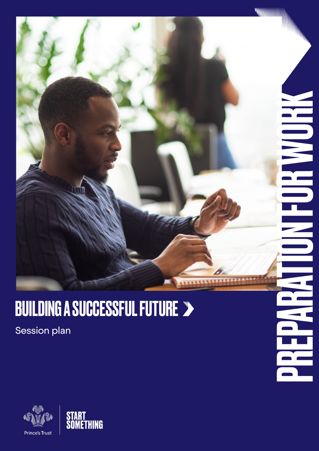

P

## **BUILDING A SUCCESSFUL FUTURE >**

Session plan



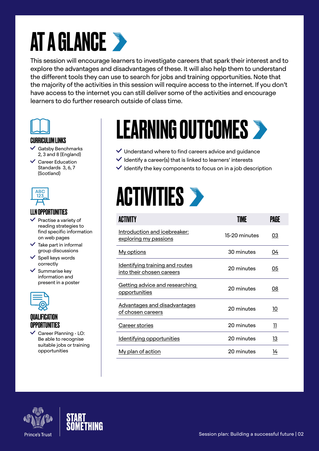# **AT A GLANCE >**

This session will encourage learners to investigate careers that spark their interest and to explore the advantages and disadvantages of these. It will also help them to understand the different tools they can use to search for jobs and training opportunities. Note that the majority of the activities in this session will require access to the internet. If you don't have access to the internet you can still deliver some of the activities and encourage learners to do further research outside of class time.



#### CURRICULUM LINKS

- $\checkmark$  Gatsby Benchmarks 2, 3 and 8 (England)
- $\checkmark$  Career Education Standards 3, 6, 7 (Scotland)



### LLN OPPORTUNITIES

- $\vee$  Practise a variety of reading strategies to find specific information on web pages
- $\checkmark$  Take part in informal group discussions
- $\checkmark$  Spell keys words correctly
- $\checkmark$  Summarise key information and present in a poster



### QUALIFICATION **OPPORTUNITIES**

 $\checkmark$  Career Planning - LO: Be able to recognise suitable jobs or training opportunities

# LEARNING OUTCOMES

- $\vee$  Understand where to find careers advice and guidance
- $\checkmark$  Identify a career(s) that is linked to learners' interests
- $\vee$  Identify the key components to focus on in a job description

# **ACTIVITIES >**

| <b>ACTIVITY</b>                                                     | TIMF          | PAGE      |
|---------------------------------------------------------------------|---------------|-----------|
| Introduction and icebreaker:<br>exploring my passions               | 15-20 minutes | 03        |
| My options                                                          | 30 minutes    | 04        |
| <u>Identifying training and routes</u><br>into their chosen careers | 20 minutes    | 05        |
| <u>Getting advice and researching</u><br>opportunities              | 20 minutes    | <u>08</u> |
| <u>Advantages and disadvantages</u><br>of chosen careers            | 20 minutes    | 10        |
| Career stories                                                      | 20 minutes    | 11        |
| Identifying opportunities                                           | 20 minutes    | 13        |
| <u>My plan of action</u>                                            | 20 minutes    | 14        |



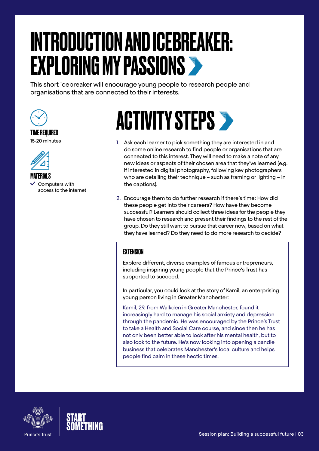# <span id="page-2-0"></span>INTRODUCTION AND ICEBREAKER: EXPLORING MY PASSIONS

This short icebreaker will encourage young people to research people and organisations that are connected to their interests.



#### TIME REQUIRED 15-20 minutes



MATERIALS

 $\vee$  Computers with access to the internet

# **ACTIVITY STEPS >**

- 1. Ask each learner to pick something they are interested in and do some online research to find people or organisations that are connected to this interest. They will need to make a note of any new ideas or aspects of their chosen area that they've learned (e.g. if interested in digital photography, following key photographers who are detailing their technique – such as framing or lighting – in the captions).
- 2. Encourage them to do further research if there's time: How did these people get into their careers? How have they become successful? Learners should collect three ideas for the people they have chosen to research and present their findings to the rest of the group. Do they still want to pursue that career now, based on what they have learned? Do they need to do more research to decide?

### EXTENSION

Explore different, diverse examples of famous entrepreneurs, including inspiring young people that the Prince's Trust has supported to succeed.

In particular, you could look at [the story of Kamil,](https://www.princes-trust.org.uk/about-the-trust/success-stories/kamil-brooklyn) an enterprising young person living in Greater Manchester:

Kamil, 29, from Walkden in Greater Manchester, found it increasingly hard to manage his social anxiety and depression through the pandemic. He was encouraged by the Prince's Trust to take a Health and Social Care course, and since then he has not only been better able to look after his mental health, but to also look to the future. He's now looking into opening a candle business that celebrates Manchester's local culture and helps people find calm in these hectic times.



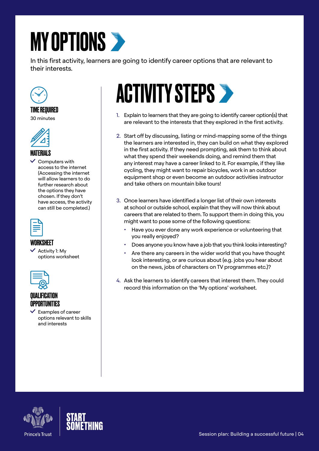# <span id="page-3-0"></span>**MY OPTIONS**

In this first activity, learners are going to identify career options that are relevant to their interests.



#### TIME REQUIRED 30 minutes



### MATFRIAI S

 $\vee$  Computers with access to the internet (Accessing the internet will allow learners to do further research about the options they have chosen. If they don't have access, the activity can still be completed.)



### **WORKSHEET**

 $\checkmark$  Activity 1: Mv options worksheet



### **QUALIFICA** OPPORTUNITIES

 $\checkmark$  Examples of career options relevant to skills and interests

# **ACTIVITY STEPS >**

- 1. Explain to learners that they are going to identify career option(s) that are relevant to the interests that they explored in the first activity.
- 2. Start off by discussing, listing or mind-mapping some of the things the learners are interested in, they can build on what they explored in the first activity. If they need prompting, ask them to think about what they spend their weekends doing, and remind them that any interest may have a career linked to it. For example, if they like cycling, they might want to repair bicycles, work in an outdoor equipment shop or even become an outdoor activities instructor and take others on mountain bike tours!
- 3. Once learners have identified a longer list of their own interests at school or outside school, explain that they will now think about careers that are related to them. To support them in doing this, you might want to pose some of the following questions:
	- Have you ever done any work experience or volunteering that you really enjoyed?
	- Does anyone you know have a job that you think looks interesting?
	- Are there any careers in the wider world that you have thought look interesting, or are curious about (e.g. jobs you hear about on the news, jobs of characters on TV programmes etc.)?
- 4. Ask the learners to identify careers that interest them. They could record this information on the 'My options' worksheet.



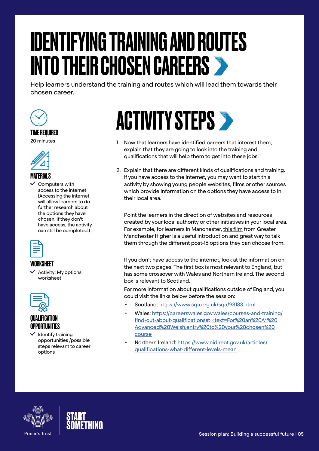# <span id="page-4-0"></span>IDENTIFYING TRAINING AND ROUTES INTO THEIR CHOSEN CAREERS

Help learners understand the training and routes which will lead them towards their chosen career.



#### TIME REQUIRED

20 minutes



### MATERIALS

 $\checkmark$  Computers with access to the internet (Accessing the internet will allow learners to do further research about the options they have chosen. If they don't have access, the activity can still be completed.)



### WORKSHEET

 $\checkmark$  Activity: My options worksheet



### QUALIFICATION **OPPORTUNITIES**

 $\checkmark$  Identify training opportunities /possible steps relevant to career options

# **ACTIVITY STEPS >**

- 1. Now that learners have identified careers that interest them, explain that they are going to look into the training and qualifications that will help them to get into these jobs.
- 2. Explain that there are different kinds of qualifications and training. If you have access to the internet, you may want to start this activity by showing young people websites, films or other sources which provide information on the options they have access to in their local area.

Point the learners in the direction of websites and resources created by your local authority or other initiatives in your local area. For example, for learners in Manchester, [this film](https://gmhigher.ac.uk/resources/choices-post-16-options/) from Greater Manchester Higher is a useful introduction and great way to talk them through the different post-16 options they can choose from.

If you don't have access to the internet, look at the information on the next two pages. The first box is most relevant to England, but has some crossover with Wales and Northern Ireland. The second box is relevant to Scotland.

For more information about qualifications outside of England, you could visit the links below before the session:

- Scotland:<https://www.sqa.org.uk/sqa/93183.html>
- Wales: [https://careerswales.gov.wales/courses-and-training/](https://careerswales.gov.wales/courses-and-training/find-out-about-qualifications#:~:text=For%20an%20A*%20Advanced%20Welsh,entry%20to%20your%20chosen%20course) [find-out-about-qualifications#:~:text=For%20an%20A\\*%20](https://careerswales.gov.wales/courses-and-training/find-out-about-qualifications#:~:text=For%20an%20A*%20Advanced%20Welsh,entry%20to%20your%20chosen%20course) [Advanced%20Welsh,entry%20to%20your%20chosen%20](https://careerswales.gov.wales/courses-and-training/find-out-about-qualifications#:~:text=For%20an%20A*%20Advanced%20Welsh,entry%20to%20your%20chosen%20course) [course](https://careerswales.gov.wales/courses-and-training/find-out-about-qualifications#:~:text=For%20an%20A*%20Advanced%20Welsh,entry%20to%20your%20chosen%20course)
- Northern Ireland: [https://www.nidirect.gov.uk/articles/](https://www.nidirect.gov.uk/articles/qualifications-what-different-levels-mean) [qualifications-what-different-levels-mean](https://www.nidirect.gov.uk/articles/qualifications-what-different-levels-mean)



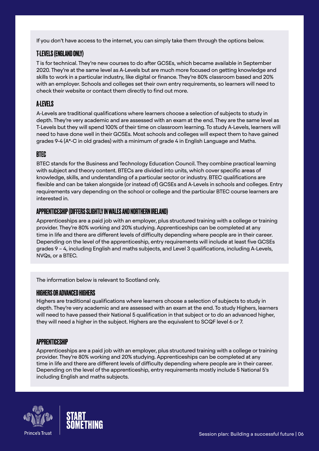If you don't have access to the internet, you can simply take them through the options below.

### T-LEVELS (ENGLAND ONLY)

T is for technical. They're new courses to do after GCSEs, which became available in September 2020. They're at the same level as A-Levels but are much more focused on getting knowledge and skills to work in a particular industry, like digital or finance. They're 80% classroom based and 20% with an employer. Schools and colleges set their own entry requirements, so learners will need to check their website or contact them directly to find out more.

### A-LEVELS

A-Levels are traditional qualifications where learners choose a selection of subjects to study in depth. They're very academic and are assessed with an exam at the end. They are the same level as T-Levels but they will spend 100% of their time on classroom learning. To study A-Levels, learners will need to have done well in their GCSEs. Most schools and colleges will expect them to have gained grades 9-4 (A\*-C in old grades) with a minimum of grade 4 in English Language and Maths.

### BTEC

BTEC stands for the Business and Technology Education Council. They combine practical learning with subject and theory content. BTECs are divided into units, which cover specific areas of knowledge, skills, and understanding of a particular sector or industry. BTEC qualifications are flexible and can be taken alongside (or instead of) GCSEs and A-Levels in schools and colleges. Entry requirements vary depending on the school or college and the particular BTEC course learners are interested in.

#### APPRENTICESHIP (DIFFERS SLIGHTLY IN WALES AND NORTHERN IRELAND)

Apprenticeships are a paid job with an employer, plus structured training with a college or training provider. They're 80% working and 20% studying. Apprenticeships can be completed at any time in life and there are different levels of difficulty depending where people are in their career. Depending on the level of the apprenticeship, entry requirements will include at least five GCSEs grades 9 – 4, including English and maths subjects, and Level 3 qualifications, including A-Levels, NVQs, or a BTEC.

The information below is relevant to Scotland only.

#### HIGHERS OR ADVANCED HIGHERS

Highers are traditional qualifications where learners choose a selection of subjects to study in depth. They're very academic and are assessed with an exam at the end. To study Highers, learners will need to have passed their National 5 qualification in that subject or to do an advanced higher, they will need a higher in the subject. Highers are the equivalent to SCQF level 6 or 7.

#### APPRENTICESHIP

Apprenticeships are a paid job with an employer, plus structured training with a college or training provider. They're 80% working and 20% studying. Apprenticeships can be completed at any time in life and there are different levels of difficulty depending where people are in their career. Depending on the level of the apprenticeship, entry requirements mostly include 5 National 5's including English and maths subjects.



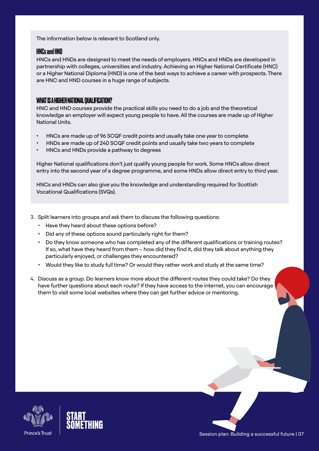The information below is relevant to Scotland only.

#### HNCs and HND

HNCs and HNDs are designed to meet the needs of employers. HNCs and HNDs are developed in partnership with colleges, universities and industry. Achieving an Higher National Certificate (HNC) or a Higher National Diploma (HND) is one of the best ways to achieve a career with prospects. There are HNC and HND courses in a huge range of subjects.

#### WHAT IS A HIGHER NATIONAL QUALIFICATION?

HNC and HND courses provide the practical skills you need to do a job and the theoretical knowledge an employer will expect young people to have. All the courses are made up of Higher National Units.

- HNCs are made up of 96 SCQF credit points and usually take one year to complete
- HNDs are made up of 240 SCQF credit points and usually take two years to complete
- HNCs and HNDs provide a pathway to degrees

Higher National qualifications don't just qualify young people for work. Some HNCs allow direct entry into the second year of a degree programme, and some HNDs allow direct entry to third year.

HNCs and HNDs can also give you the knowledge and understanding required for Scottish Vocational Qualifications (SVQs).

- 3. Split learners into groups and ask them to discuss the following questions:
	- Have they heard about these options before?
	- Did any of these options sound particularly right for them?
	- Do they know someone who has completed any of the different qualifications or training routes? If so, what have they heard from them – how did they find it, did they talk about anything they particularly enjoyed, or challenges they encountered?
	- Would they like to study full time? Or would they rather work and study at the same time?
- 4. Discuss as a group. Do learners know more about the different routes they could take? Do they have further questions about each route? If they have access to the internet, you can encourage them to visit some local websites where they can get further advice or mentoring.



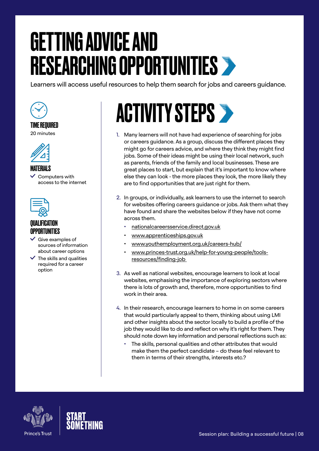# <span id="page-7-0"></span>GETTING ADVICE AND RESEARCHING OPPORTUNITIES

Learners will access useful resources to help them search for jobs and careers guidance.



### TIME REQUIRED

20 minutes



MATERIALS

 $\vee$  Computers with access to the internet



### QUALIFICATION OPPORTUNITIES

- $\checkmark$  Give examples of sources of information about career options
- $\checkmark$  The skills and qualities required for a career option

# **ACTIVITY STEPS >**

- 1. Many learners will not have had experience of searching for jobs or careers guidance. As a group, discuss the different places they might go for careers advice, and where they think they might find jobs. Some of their ideas might be using their local network, such as parents, friends of the family and local businesses. These are great places to start, but explain that it's important to know where else they can look - the more places they look, the more likely they are to find opportunities that are just right for them.
- 2. In groups, or individually, ask learners to use the internet to search for websites offering careers guidance or jobs. Ask them what they have found and share the websites below if they have not come across them.
	- [nationalcareersservice.direct.gov.uk](https://nationalcareersservice.direct.gov.uk)
	- [www.apprenticeships.gov.uk](https://www.apprenticeships.gov.uk/)
	- [www.youthemployment.org.uk/careers-hub/](https://www.youthemployment.org.uk/careers-hub/)
	- [www.princes-trust.org.uk/help-for-young-people/tools](https://www.princes-trust.org.uk/help-for-young-people/tools-resources/finding-job)[resources/finding-job](https://www.princes-trust.org.uk/help-for-young-people/tools-resources/finding-job)
- 3. As well as national websites, encourage learners to look at local websites, emphasising the importance of exploring sectors where there is lots of growth and, therefore, more opportunities to find work in their area.
- 4. In their research, encourage learners to home in on some careers that would particularly appeal to them, thinking about using LMI and other insights about the sector locally to build a profile of the job they would like to do and reflect on why it's right for them. They should note down key information and personal reflections such as:
	- The skills, personal qualities and other attributes that would make them the perfect candidate – do these feel relevant to them in terms of their strengths, interests etc.?



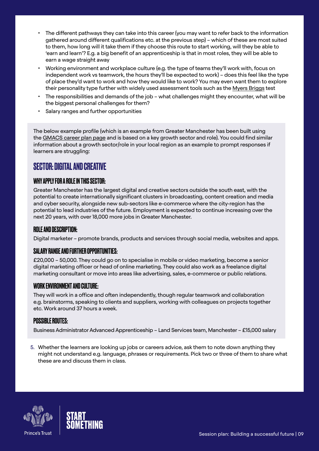- The different pathways they can take into this career (you may want to refer back to the information gathered around different qualifications etc. at the previous step) – which of these are most suited to them, how long will it take them if they choose this route to start working, will they be able to 'earn and learn'? E.g. a big benefit of an apprenticeship is that in most roles, they will be able to earn a wage straight away
- Working environment and workplace culture (e.g. the type of teams they'll work with, focus on independent work vs teamwork, the hours they'll be expected to work) – does this feel like the type of place they'd want to work and how they would like to work? You may even want them to explore their personality type further with widely used assessment tools such as the [Myers Briggs](https://www.16personalities.com/free-personality-test) test
- The responsibilities and demands of the job what challenges might they encounter, what will be the biggest personal challenges for them?
- Salary ranges and further opportunities

The below example profile (which is an example from Greater Manchester has been built using the [GMACS career plan page](https://gmacs.co.uk/career-plan) and is based on a key growth sector and role). You could find similar information about a growth sector/role in your local region as an example to prompt responses if learners are struggling:

## SECTOR: DIGITAL AND CREATIVE

### WHY APPLY FOR A ROLE IN THIS SECTOR:

Greater Manchester has the largest digital and creative sectors outside the south east, with the potential to create internationally significant clusters in broadcasting, content creation and media and cyber security, alongside new sub-sectors like e-commerce where the city-region has the potential to lead industries of the future. Employment is expected to continue increasing over the next 20 years, with over 18,000 more jobs in Greater Manchester.

#### ROLE AND DESCRIPTION:

Digital marketer – promote brands, products and services through social media, websites and apps.

#### SALARY RANGE AND FURTHER OPPORTUNITIES:

£20,000 – 50,000. They could go on to specialise in mobile or video marketing, become a senior digital marketing officer or head of online marketing. They could also work as a freelance digital marketing consultant or move into areas like advertising, sales, e-commerce or public relations.

#### WORK ENVIRONMENT AND CULTURE:

They will work in a office and often independently, though regular teamwork and collaboration e.g. brainstorms, speaking to clients and suppliers, working with colleagues on projects together etc. Work around 37 hours a week.

#### **POSSIBLE ROUTES:**

Business Administrator Advanced Apprenticeship – Land Services team, Manchester – £15,000 salary

5. Whether the learners are looking up jobs or careers advice, ask them to note down anything they might not understand e.g. language, phrases or requirements. Pick two or three of them to share what these are and discuss them in class.



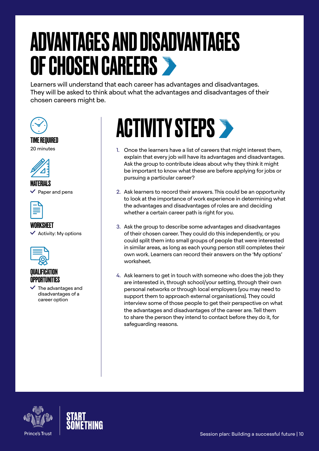# <span id="page-9-0"></span>ADVANTAGES AND DISADVANTAGES OF CHOSEN CAREERS

Learners will understand that each career has advantages and disadvantages. They will be asked to think about what the advantages and disadvantages of their chosen careers might be.



#### TIME REQUIRED 20 minutes



**MATFRIALS** Paper and pens



### WORKSHEET

 $\checkmark$  Activity: My options



### QUALIFICATION **OPPORTUNITIES**

 $\vee$  The advantages and disadvantages of a career option



- 1. Once the learners have a list of careers that might interest them, explain that every job will have its advantages and disadvantages. Ask the group to contribute ideas about why they think it might be important to know what these are before applying for jobs or pursuing a particular career?
- 2. Ask learners to record their answers. This could be an opportunity to look at the importance of work experience in determining what the advantages and disadvantages of roles are and deciding whether a certain career path is right for you.
- 3. Ask the group to describe some advantages and disadvantages of their chosen career. They could do this independently, or you could split them into small groups of people that were interested in similar areas, as long as each young person still completes their own work. Learners can record their answers on the 'My options' worksheet.
- 4. Ask learners to get in touch with someone who does the job they are interested in, through school/your setting, through their own personal networks or through local employers (you may need to support them to approach external organisations). They could interview some of those people to get their perspective on what the advantages and disadvantages of the career are. Tell them to share the person they intend to contact before they do it, for safeguarding reasons.



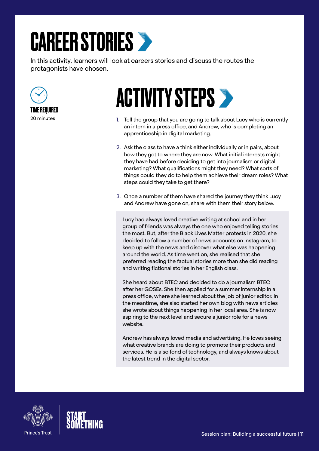# <span id="page-10-0"></span>CAREER STORIES

In this activity, learners will look at careers stories and discuss the routes the protagonists have chosen.





# **ACTIVITY STEPS >**

- 1. Tell the group that you are going to talk about Lucy who is currently an intern in a press office, and Andrew, who is completing an apprenticeship in digital marketing.
- 2. Ask the class to have a think either individually or in pairs, about how they got to where they are now. What initial interests might they have had before deciding to get into journalism or digital marketing? What qualifications might they need? What sorts of things could they do to help them achieve their dream roles? What steps could they take to get there?
- 3. Once a number of them have shared the journey they think Lucy and Andrew have gone on, share with them their story below.

Lucy had always loved creative writing at school and in her group of friends was always the one who enjoyed telling stories the most. But, after the Black Lives Matter protests in 2020, she decided to follow a number of news accounts on Instagram, to keep up with the news and discover what else was happening around the world. As time went on, she realised that she preferred reading the factual stories more than she did reading and writing fictional stories in her English class.

She heard about BTEC and decided to do a journalism BTEC after her GCSEs. She then applied for a summer internship in a press office, where she learned about the job of junior editor. In the meantime, she also started her own blog with news articles she wrote about things happening in her local area. She is now aspiring to the next level and secure a junior role for a news website.

Andrew has always loved media and advertising. He loves seeing what creative brands are doing to promote their products and services. He is also fond of technology, and always knows about the latest trend in the digital sector.



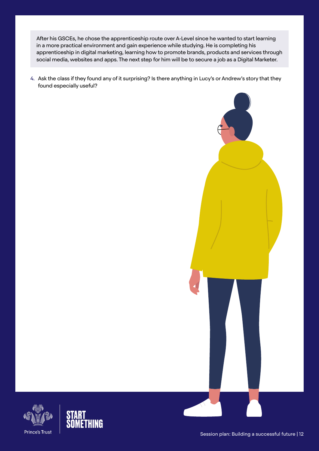After his GSCEs, he chose the apprenticeship route over A-Level since he wanted to start learning in a more practical environment and gain experience while studying. He is completing his apprenticeship in digital marketing, learning how to promote brands, products and services through social media, websites and apps. The next step for him will be to secure a job as a Digital Marketer.

4. Ask the class if they found any of it surprising? Is there anything in Lucy's or Andrew's story that they found especially useful?





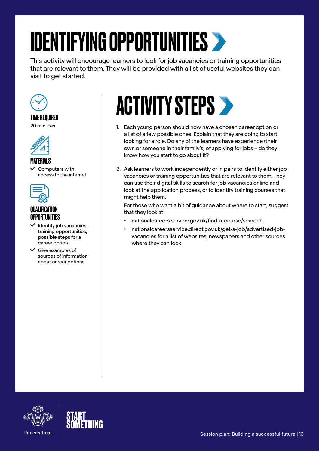# <span id="page-12-0"></span>IDENTIFYING OPPORTUNITIES

This activity will encourage learners to look for job vacancies or training opportunities that are relevant to them. They will be provided with a list of useful websites they can visit to get started.



TIME REQUIRED 20 minutes



#### **MATFRIALS**

 $\vee$  Computers with access to the internet



### QUALIFICATION OPPORTUNITIES

- $\checkmark$  Identify job vacancies, training opportunities, possible steps for a career option
- $\checkmark$  Give examples of sources of information about career options

# **ACTIVITY STEPS >**

- 1. Each young person should now have a chosen career option or a list of a few possible ones. Explain that they are going to start looking for a role. Do any of the learners have experience (their own or someone in their family's) of applying for jobs – do they know how you start to go about it?
- 2. Ask learners to work independently or in pairs to identify either job vacancies or training opportunities that are relevant to them. They can use their digital skills to search for job vacancies online and look at the application process, or to identify training courses that might help them.

For those who want a bit of guidance about where to start, suggest that they look at:

- [nationalcareers.service.gov.uk/find-a-course/searchh](https://nationalcareers.service.gov.uk/find-a-course/searchh)
- [nationalcareersservice.direct.gov.uk/get-a-job/advertised-job](https://nationalcareersservice.direct.gov.uk/get-a-job/)[vacancies](https://nationalcareersservice.direct.gov.uk/get-a-job/) for a list of websites, newspapers and other sources where they can look